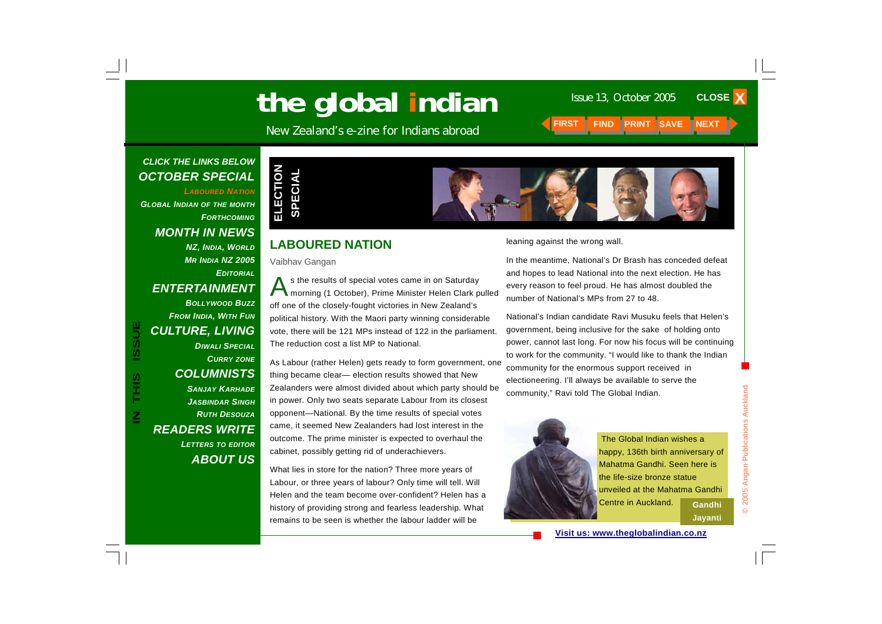# Issue 13, October 2005 **the global indian**

New Zealand's e-zine for Indians abroad **FIRST FIND PRINT SAVE** 

### *CLICK THE LINKS BELOW OCTOBER SPECIAL*

*LABOURED NATION*

*GLOBAL INDIAN OF THE MONTH FORTHCOMINGMONTH IN NEWS* 

*NZ, INDIA, WORLD MR INDIA NZ 2005 EDITORIALENTERTAINMENT BOLLYWOOD BUZZFROM INDIA, WITH FUN CULTURE, LIVING* 

*DIWALI SPECIALCURRY ZONE COLUMNISTS SANJAY KARHADEJASBINDAR SINGHRUTH DESOUZAREADERS WRITE LETTERS TO EDITOR ABOUT US*

**IN THIS ISSUE**

S<br>H<br>H<br>H

 $\overline{\mathsf{z}}$ 

**USSUE** 



#### **LABOURED NATION**

Vaibhav Gangan

s the results of special votes came in on Saturday morning (1 October), Prime Minister Helen Clark pulled off one of the closely-fought victories in New Zealand's political history. With the Maori party winning considerable vote, there will be 121 MPs instead of 122 in the parliament. The reduction cost a list MP to National.

As Labour (rather Helen) gets ready to form government, one thing became clear— election results showed that New Zealanders were almost divided about which party should be in power. Only two seats separate Labour from its closest opponent—National. By the time results of special votes came, it seemed New Zealanders had lost interest in the outcome. The prime minister is expected to overhaul the cabinet, possibly getting rid of underachievers.

What lies in store for the nation? Three more years of Labour, or three years of labour? Only time will tell. Will Helen and the team become over-confident? Helen has a history of providing strong and fearless leadership. What remains to be seen is whether the labour ladder will be

leaning against the wrong wall.

In the meantime, National's Dr Brash has conceded defeat and hopes to lead National into the next election. He has every reason to feel proud. He has almost doubled the number of National's MPs from 27 to 48.

National's Indian candidate Ravi Musuku feels that Helen's government, being inclusive for the sake of holding onto power, cannot last long. For now his focus will be continuing to work for the community. "I would like to thank the Indian community for the enormous support received in electioneering. I'll always be available to serve the community," Ravi told The Global Indian.



 The Global Indian wishes a happy, 136th birth anniversary of Mahatma Gandhi. Seen here is the life-size bronze statue unveiled at the Mahatma Gandhi **Centre in Auckland.** Gandhi **Jayanti** 

**CLOSE X**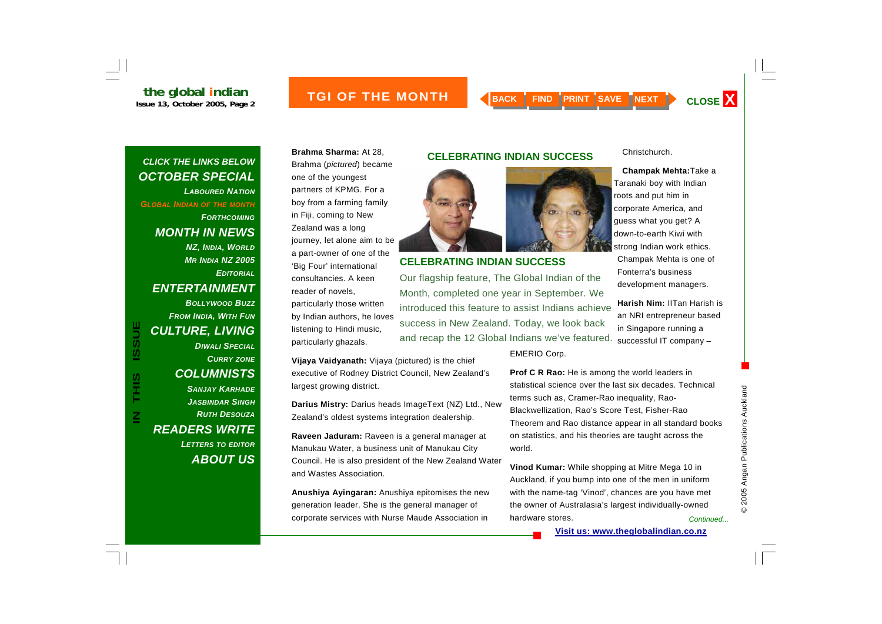

#### *CLICK THE LINKS BELOW OCTOBER SPECIAL*

*LABOURED NATIONGLOBAL INDIAN OF THE MONTH FORTHCOMINGMONTH IN NEWS NZ, INDIA, WORLD MR INDIA NZ 2005 EDITORIALENTERTAINMENT BOLLYWOOD BUZZFROM INDIA, WITH FUN CULTURE, LIVING DIWALI SPECIALCURRY ZONE COLUMNISTS SANJAY KARHADEJASBINDAR SINGH*

*RUTH DESOUZA*

*LETTERS TO EDITOR*

*ABOUT US*

partners of KPMG. For a boy from a farming family in Fiji, coming to New Zealand was a long journey, let alone aim to be a part-owner of one of the 'Big Four' international consultancies. A keen reader of novels, particularly those written by Indian authors, he loves listening to Hindi music, particularly ghazals.

**Brahma Sharma:** At 28, Brahma (*pictured*) became

one of the youngest

**CELEBRATING INDIAN SUCCESS**

**CELEBRATING INDIAN SUCCESS** 

Our flagship feature, The Global Indian of the Month, completed one year in September. We introduced this feature to assist Indians achieve success in New Zealand. Today, we look back and recap the 12 Global Indians we've featured.

**Vijaya Vaidyanath:** Vijaya (pictured) is the chief executive of Rodney District Council, New Zealand's largest growing district.

**Darius Mistry:** Darius heads ImageText (NZ) Ltd., New Zealand's oldest systems integration dealership.

**Raveen Jaduram:** Raveen is a general manager at Manukau Water, a business unit of Manukau City Council. He is also president of the New Zealand Water and Wastes Association.

**Anushiya Ayingaran:** Anushiya epitomises the new generation leader. She is the general manager of corporate services with Nurse Maude Association in

#### EMERIO Corp.

**Prof C R Rao:** He is among the world leaders in statistical science over the last six decades. Technical terms such as, Cramer-Rao inequality, Rao-Blackwellization, Rao's Score Test, Fisher-Rao Theorem and Rao distance appear in all standard books on statistics, and his theories are taught across the world.

**Vinod Kumar:** While shopping at Mitre Mega 10 in Auckland, if you bump into one of the men in uniform with the name-tag 'Vinod', chances are you have met the owner of Australasia's largest individually-owned hardware stores. *Continued...* 

Christchurch.

**Champak Mehta:**Take a Taranaki boy with Indian roots and put him in corporate America, and guess what you get? A down-to-earth Kiwi with strong Indian work ethics. Champak Mehta is one of

Fonterra's business development managers.

**Harish Nim:** IITan Harish is an NRI entrepreneur based in Singapore running a successful IT company –

> © 2005 Angan Publications Auckland 2005 Angan Publications Auckland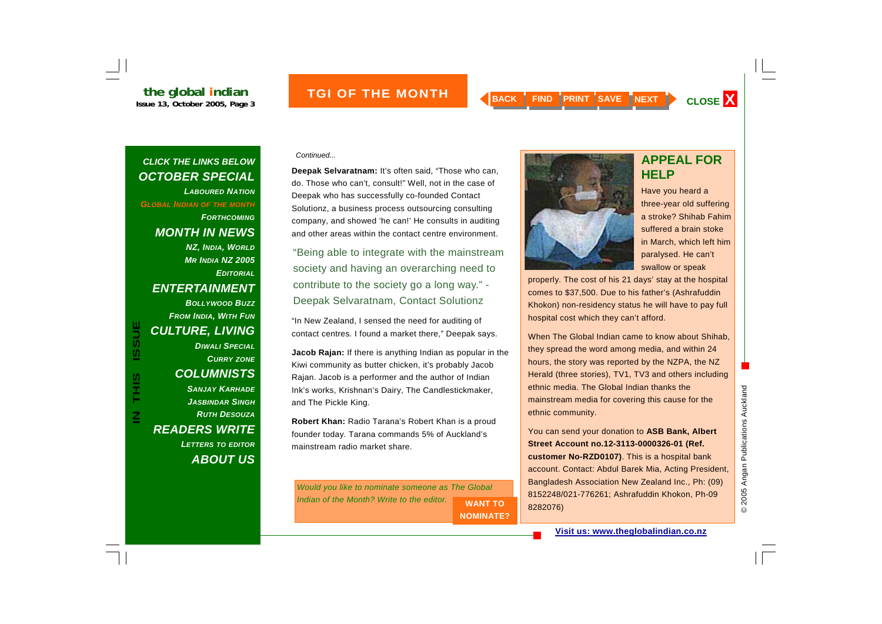#### *CLICK THE LINKS BELOW OCTOBER SPECIAL*

*LABOURED NATIONGLOBAL INDIAN OF THE MONTH FORTHCOMINGMONTH IN NEWS NZ, INDIA, WORLD MR INDIA NZ 2005 EDITORIALENTERTAINMENT BOLLYWOOD BUZZFROM INDIA, WITH FUN CULTURE, LIVING DIWALI SPECIALCURRY ZONE COLUMNISTS SANJAY KARHADEJASBINDAR SINGHRUTH DESOUZAREADERS WRITE LETTERS TO EDITOR*

**IN THIS ISSUE**

THIS<br>T

 $\overline{\underline{\mathsf{z}}}$ 

**ISSUE** 

*ABOUT US*

*Continued...* 

**Deepak Selvaratnam:** It's often said, "Those who can, do. Those who can't, consult!" Well, not in the case of Deepak who has successfully co-founded Contact Solutionz, a business process outsourcing consulting company, and showed 'he can!' He consults in auditing and other areas within the contact centre environment.

"Being able to integrate with the mainstream society and having an overarching need to contribute to the society go a long way." - Deepak Selvaratnam, Contact Solutionz

"In New Zealand, I sensed the need for auditing of contact centres. I found a market there," Deepak says.

**Jacob Rajan:** If there is anything Indian as popular in the Kiwi community as butter chicken, it's probably Jacob Rajan. Jacob is a performer and the author of Indian Ink's works, Krishnan's Dairy, The Candlestickmaker, and The Pickle King.

**Robert Khan:** Radio Tarana's Robert Khan is a proud founder today. Tarana commands 5% of Auckland's mainstream radio market share.

*Would you like to nominate someone as The Global Indian of the Month? Write to the editor.* **WANT TO NOMINATE?** 



### **APPEAL FOR HELP**

Have you heard a three-year old suffering a stroke? Shihab Fahim suffered a brain stoke in March, which left him paralysed. He can't swallow or speak

properly. The cost of his 21 days' stay at the hospital comes to \$37,500. Due to his father's (Ashrafuddin Khokon) non-residency status he will have to pay full hospital cost which they can't afford.

When The Global Indian came to know about Shihab, they spread the word among media, and within 24 hours, the story was reported by the NZPA, the NZ Herald (three stories), TV1, TV3 and others including ethnic media. The Global Indian thanks the mainstream media for covering this cause for the ethnic community.

You can send your donation to **ASB Bank, Albert Street Account no.12-3113-0000326-01 (Ref. customer No-RZD0107)**. This is a hospital bank account. Contact: Abdul Barek Mia, Acting President, Bangladesh Association New Zealand Inc., Ph: (09) 8152248/021-776261; Ashrafuddin Khokon, Ph-09 8282076)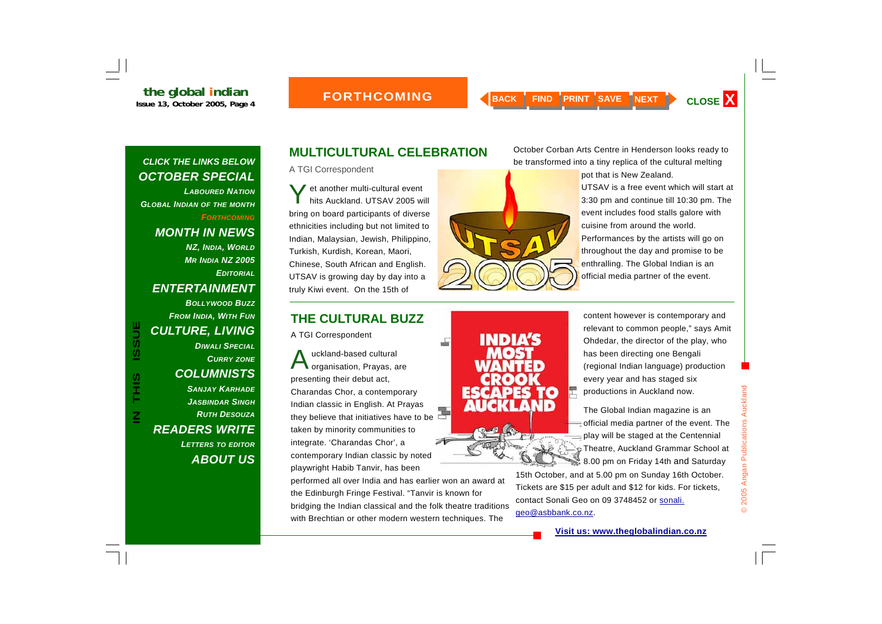#### **FORTHCOMING MONTH**

#### *CLICK THE LINKS BELOW OCTOBER SPECIAL*

*LABOURED NATIONGLOBAL INDIAN OF THE MONTH FORTHCOMING*

*MONTH IN NEWS NZ, INDIA, WORLD MR INDIA NZ 2005 EDITORIALENTERTAINMENT* 

#### *BOLLYWOOD BUZZFROM INDIA, WITH FUN CULTURE, LIVING*

*DIWALI SPECIALCURRY ZONE COLUMNISTS SANJAY KARHADEJASBINDAR SINGHRUTH DESOUZAREADERS WRITE LETTERS TO EDITOR ABOUT US*

## **MULTICULTURAL CELEBRATION**

A TGI Correspondent

 $\blacktriangleright$  et another multi-cultural event hits Auckland. UTSAV 2005 will bring on board participants of diverse ethnicities including but not limited to Indian, Malaysian, Jewish, Philippino, Turkish, Kurdish, Korean, Maori, Chinese, South African and English. UTSAV is growing day by day into a truly Kiwi event. On the 15th of

FROM INDIA, WITH FUN<br>
OULTURE, LIVING<br>
OULTURE, LIVING<br>
OULTURE, LIVING<br>
OULTURE, LIVING<br>
OULTURE, LIVING<br>
OULTURE A TGI CONTESPONDER<br>
OULTURE A TGI CONTESPONDER<br>
OULTURE A TGI CONTESPONDER<br>
OULTURE A TGI CONTESPONDER<br>
OUL taken by minority communities to integrate. 'Charandas Chor', a contemporary Indian classic by noted playwright Habib Tanvir, has been

> performed all over India and has earlier won an award at the Edinburgh Fringe Festival. "Tanvir is known for bridging the Indian classical and the folk theatre traditions with Brechtian or other modern western techniques. The

October Corban Arts Centre in Henderson looks ready to be transformed into a tiny replica of the cultural melting



імбіл

pot that is New Zealand. UTSAV is a free event which will start at 3:30 pm and continue till 10:30 pm. The event includes food stalls galore with cuisine from around the world. Performances by the artists will go on throughout the day and promise to be enthralling. The Global Indian is an official media partner of the event.

content however is contemporary and relevant to common people," says Amit Ohdedar, the director of the play, who has been directing one Bengali (regional Indian language) production every year and has staged six productions in Auckland now.

The Global Indian magazine is an official media partner of the event. The play will be staged at the Centennial Theatre, Auckland Grammar School at 8.00 pm on Friday 14th and Saturday

15th October, and at 5.00 pm on Sunday 16th October. Tickets are \$15 per adult and \$12 for kids. For tickets, contact Sonali Geo on 09 3748452 or sonali.

geo@asbbank.co.nz.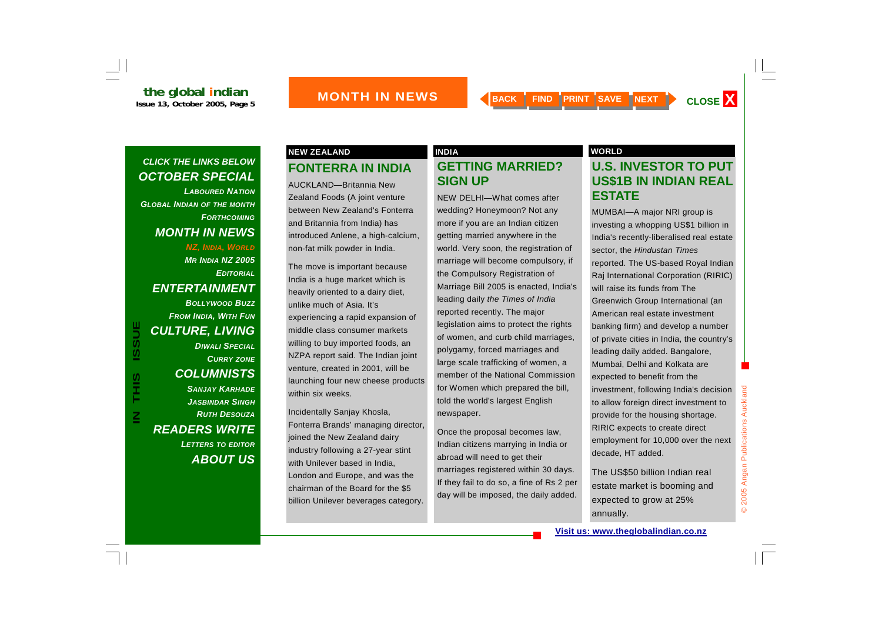*LABOURED NATIONGLOBAL INDIAN OF THE MONTH FORTHCOMINGMONTH IN NEWS NZ, INDIA, WORLD MR INDIA NZ 2005 EDITORIALENTERTAINMENT BOLLYWOOD BUZZFROM INDIA, WITH FUN CULTURE, LIVING DIWALI SPECIALCURRY ZONE COLUMNISTS SANJAY KARHADEJASBINDAR SINGHRUTH DESOUZAREADERS WRITE* 

**IN THIS ISSUE**

SILT<br>TH

 $\overline{\underline{\mathsf{z}}}$ 

**ISSUE** 

*LETTERS TO EDITOR*

*ABOUT US*

### **FONTERRA IN INDIA NEW ZEALAND GEARS INDIA** INDIA AND MORLD

AUCKLAND—Britannia New Zealand Foods (A joint venture between New Zealand's Fonterra and Britannia from India) has introduced Anlene, a high-calcium, non-fat milk powder in India.

The move is important because India is a huge market which is heavily oriented to a dairy diet, unlike much of Asia. It's experiencing a rapid expansion of middle class consumer markets willing to buy imported foods, an NZPA report said. The Indian joint venture, created in 2001, will be launching four new cheese products within six weeks.

Incidentally Sanjay Khosla, Fonterra Brands' managing director, joined the New Zealand dairy industry following a 27-year stint with Unilever based in India, London and Europe, and was the chairman of the Board for the \$5 billion Unilever beverages category.

### **GETTING MARRIED? SIGN UP**

NEW DELHI—What comes after wedding? Honeymoon? Not any more if you are an Indian citizen getting married anywhere in the world. Very soon, the registration of marriage will become compulsory, if the Compulsory Registration of Marriage Bill 2005 is enacted, India's leading daily *the Times of India*  reported recently. The major legislation aims to protect the rights of women, and curb child marriages, polygamy, forced marriages and large scale trafficking of women, a member of the National Commission for Women which prepared the bill, told the world's largest English newspaper.

Once the proposal becomes law, Indian citizens marrying in India or abroad will need to get their marriages registered within 30 days. If they fail to do so, a fine of Rs 2 per day will be imposed, the daily added.

### **U.S. INVESTOR TO PUT US\$1B IN INDIAN REAL ESTATE**

MUMBAI—A major NRI group is investing a whopping US\$1 billion in India's recently-liberalised real estate sector, the *Hindustan Times*  reported. The US-based Royal Indian Raj International Corporation (RIRIC) will raise its funds from The Greenwich Group International (an American real estate investment banking firm) and develop a number of private cities in India, the country's leading daily added. Bangalore, Mumbai, Delhi and Kolkata are expected to benefit from the investment, following India's decision to allow foreign direct investment to provide for the housing shortage. RIRIC expects to create direct employment for 10,000 over the next decade, HT added.

The US\$50 billion Indian real estate market is booming and expected to grow at 25% annually.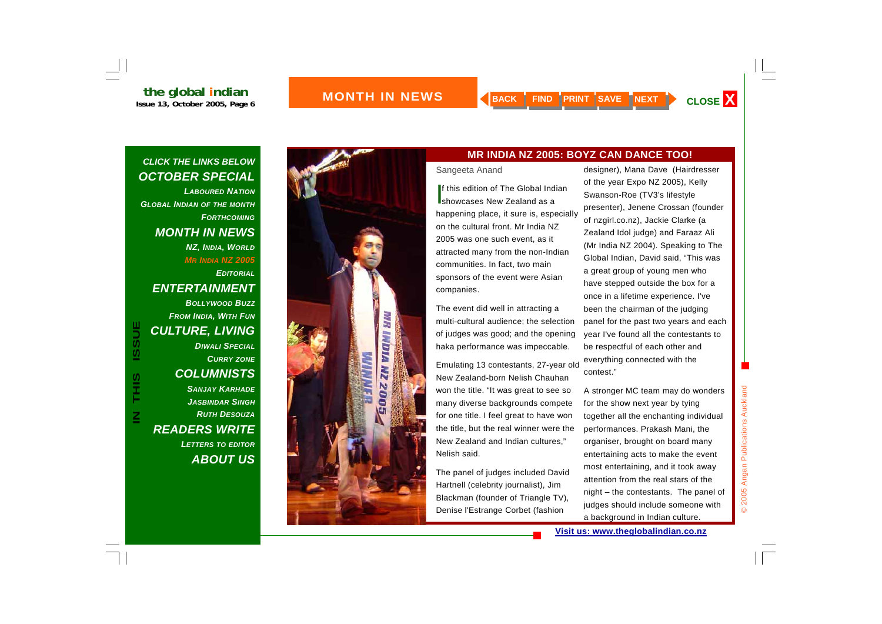

### *CLICK THE LINKS BELOW OCTOBER SPECIAL*

*LABOURED NATION*

*GLOBAL INDIAN OF THE MONTH FORTHCOMINGMONTH IN NEWS NZ, INDIA, WORLD MR INDIA NZ 2005 EDITORIALENTERTAINMENT BOLLYWOOD BUZZFROM INDIA, WITH FUN CULTURE, LIVING DIWALI SPECIALCURRY ZONE COLUMNISTS SANJAY KARHADEJASBINDAR SINGHRUTH DESOUZAREADERS WRITE LETTERS TO EDITOR ABOUT US*

**IN THIS ISSUE**

S<br>HH<br>H

 $\overline{\mathsf{z}}$ 

**ISSUE** 



#### **MR INDIA NZ 2005: BOYZ CAN DANCE TOO!**

#### Sangeeta Anand

If this edition of The Global Indian<br>showcases New Zealand as a happening place, it sure is, especially on the cultural front. Mr India NZ 2005 was one such event, as it attracted many from the non-Indian communities. In fact, two main sponsors of the event were Asian companies.

The event did well in attracting a multi-cultural audience; the selection of judges was good; and the opening haka performance was impeccable.

Emulating 13 contestants, 27-year old New Zealand-born Nelish Chauhan won the title. "It was great to see so many diverse backgrounds compete for one title. I feel great to have won the title, but the real winner were the New Zealand and Indian cultures," Nelish said.

The panel of judges included David Hartnell (celebrity journalist), Jim Blackman (founder of Triangle TV), Denise l'Estrange Corbet (fashion

designer), Mana Dave (Hairdresser of the year Expo NZ 2005), Kelly Swanson-Roe (TV3's lifestyle presenter), Jenene Crossan (founder of nzgirl.co.nz), Jackie Clarke (a Zealand Idol judge) and Faraaz Ali (Mr India NZ 2004). Speaking to The Global Indian, David said, "This was a great group of young men who have stepped outside the box for a once in a lifetime experience. I've been the chairman of the judging panel for the past two years and each year I've found all the contestants to be respectful of each other and everything connected with the contest."

A stronger MC team may do wonders for the show next year by tying together all the enchanting individual performances. Prakash Mani, the organiser, brought on board many entertaining acts to make the event most entertaining, and it took away attention from the real stars of the night – the contestants. The panel of judges should include someone with a background in Indian culture.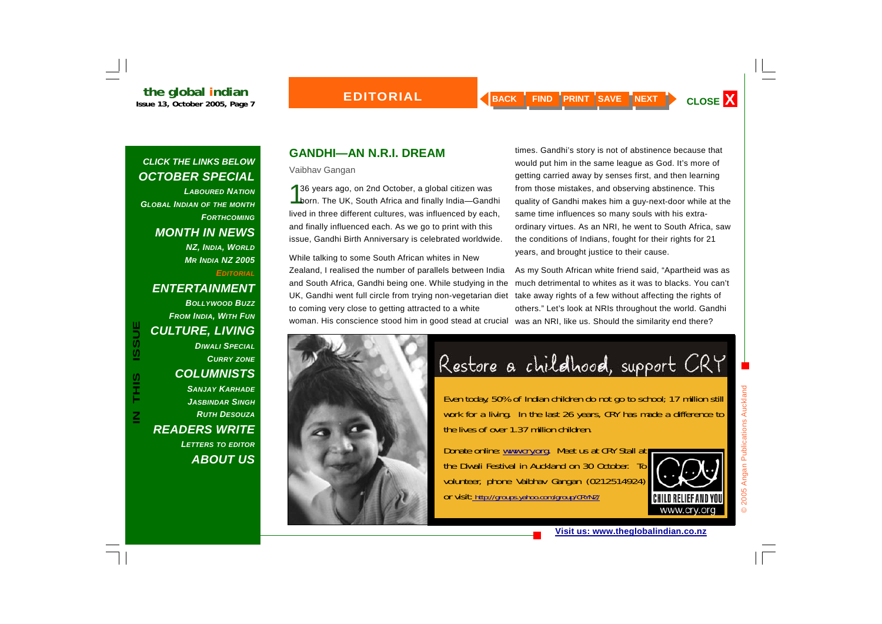*LABOURED NATIONGLOBAL INDIAN OF THE MONTH FORTHCOMINGMONTH IN NEWS NZ, INDIA, WORLD MR INDIA NZ 2005 EDITORIAL*

*ENTERTAINMENT* 

*BOLLYWOOD BUZZFROM INDIA, WITH FUN CULTURE, LIVING DIWALI SPECIALCURRY ZONE*

**IN THIS ISSUE**

**SHITH** 

 $\overline{\underline{\mathbf{z}}}$ 

**ISSUE** 

## *COLUMNISTS*

*SANJAY KARHADEJASBINDAR SINGHRUTH DESOUZAREADERS WRITE LETTERS TO EDITOR ABOUT US*

### **GANDHI—AN N.R.I. DREAM**

**EDITORIAL** 

Vaibhav Gangan

136 years ago, on 2nd October, a global citizen was<br>born. The UK, South Africa and finally India—Gandhi lived in three different cultures, was influenced by each, and finally influenced each. As we go to print with this issue, Gandhi Birth Anniversary is celebrated worldwide.

While talking to some South African whites in New Zealand, I realised the number of parallels between India and South Africa, Gandhi being one. While studying in the UK, Gandhi went full circle from trying non-vegetarian diet take away rights of a few without affecting the rights of to coming very close to getting attracted to a white woman. His conscience stood him in good stead at crucial was an NRI, like us. Should the similarity end there?



# Restore a childhood, support CRY

times. Gandhi's story is not of abstinence because that would put him in the same league as God. It's more of getting carried away by senses first, and then learning from those mistakes, and observing abstinence. This

quality of Gandhi makes him a guy-next-door while at the

ordinary virtues. As an NRI, he went to South Africa, saw

As my South African white friend said, "Apartheid was as much detrimental to whites as it was to blacks. You can't

others." Let's look at NRIs throughout the world. Gandhi

same time influences so many souls with his extra-

the conditions of Indians, fought for their rights for 21

years, and brought justice to their cause.

Even today, 50% of Indian children do not go to school; 17 million still work for a living. In the last 26 years, CRY has made a difference to the lives of over 1.37 million children.

Donate online: www.cry.org. Meet us at CRY Stall at the Diwali Festival in Auckland on 30 October. To volunteer, phone Vaibhav Gangan (0212514924) or visit: http://groups.yahoo.com/group/CRYNZ/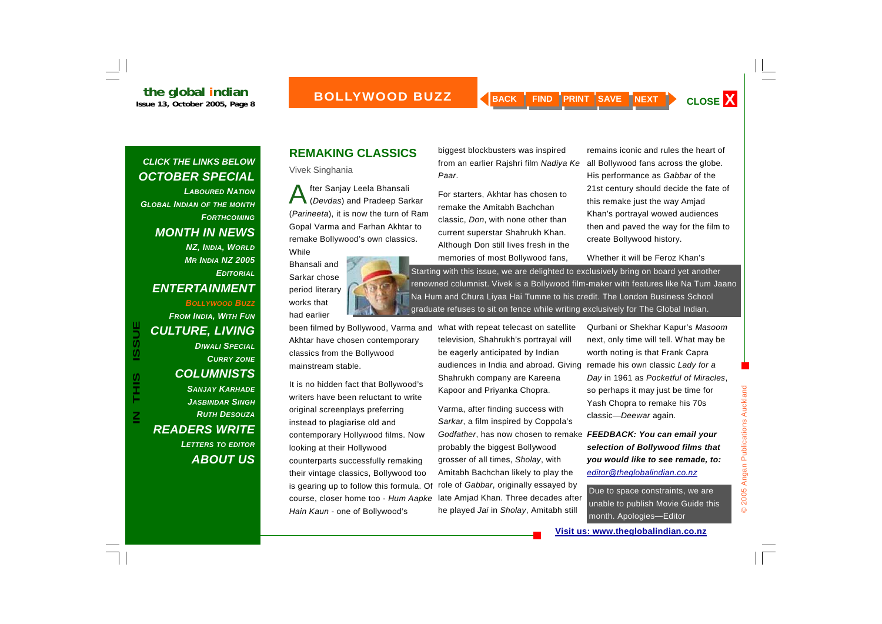*LABOURED NATIONGLOBAL INDIAN OF THE MONTH FORTHCOMINGMONTH IN NEWS NZ, INDIA, WORLD MR INDIA NZ 2005 EDITORIALENTERTAINMENT BOLLYWOOD BUZZFROM INDIA, WITH FUN*

## *CULTURE, LIVING DIWALI SPECIALCURRY ZONE COLUMNISTS*

*SANJAY KARHADEJASBINDAR SINGHRUTH DESOUZA READERS WRITE LETTERS TO EDITOR ABOUT US*

### **REMAKING CLASSICS**

Vivek Singhania

fter Sanjay Leela Bhansali (*Devdas*) and Pradeep Sarkar (*Parineeta*), it is now the turn of Ram Gopal Varma and Farhan Akhtar to remake Bollywood's own classics. **While** 



biggest blockbusters was inspired from an earlier Rajshri film *Nadiya Ke Paar*.

For starters, Akhtar has chosen to remake the Amitabh Bachchan classic, *Don*, with none other than current superstar Shahrukh Khan. Although Don still lives fresh in the memories of most Bollywood fans,

remains iconic and rules the heart of all Bollywood fans across the globe. His performance as *Gabbar* of the 21st century should decide the fate of this remake just the way Amjad Khan's portrayal wowed audiences then and paved the way for the film to create Bollywood history.

Whether it will be Feroz Khan's

Starting with this issue, we are delighted to exclusively bring on board yet another renowned columnist. Vivek is a Bollywood film-maker with features like Na Tum Jaano Na Hum and Chura Liyaa Hai Tumne to his credit. The London Business School graduate refuses to sit on fence while writing exclusively for The Global Indian.

been filmed by Bollywood, Varma and what with repeat telecast on satellite Akhtar have chosen contemporary classics from the Bollywood mainstream stable.

It is no hidden fact that Bollywood's writers have been reluctant to write original screenplays preferring instead to plagiarise old and contemporary Hollywood films. Now looking at their Hollywood counterparts successfully remaking their vintage classics, Bollywood too is gearing up to follow this formula. Of course, closer home too - *Hum Aapke Hain Kaun* - one of Bollywood's

television, Shahrukh's portrayal will be eagerly anticipated by Indian audiences in India and abroad. Giving Shahrukh company are Kareena Kapoor and Priyanka Chopra.

Varma, after finding success with *Sarkar*, a film inspired by Coppola's *Godfather*, has now chosen to remake *FEEDBACK: You can email your*  probably the biggest Bollywood grosser of all times, *Sholay*, with Amitabh Bachchan likely to play the role of *Gabbar*, originally essayed by late Amjad Khan. Three decades after he played *Jai* in *Sholay*, Amitabh still

Qurbani or Shekhar Kapur's *Masoom* next, only time will tell. What may be worth noting is that Frank Capra remade his own classic *Lady for a Day* in 1961 as *Pocketful of Miracles*, so perhaps it may just be time for Yash Chopra to remake his 70s classic—*Deewar* again.

*selection of Bollywood films that you would like to see remade, to: editor@theglobalindian.co.nz*

© 2005 Angan Publications Auckland

 $\odot$ 

2005 Angan Publications Auckland

Due to space constraints, we are unable to publish Movie Guide this month. Apologies—Editor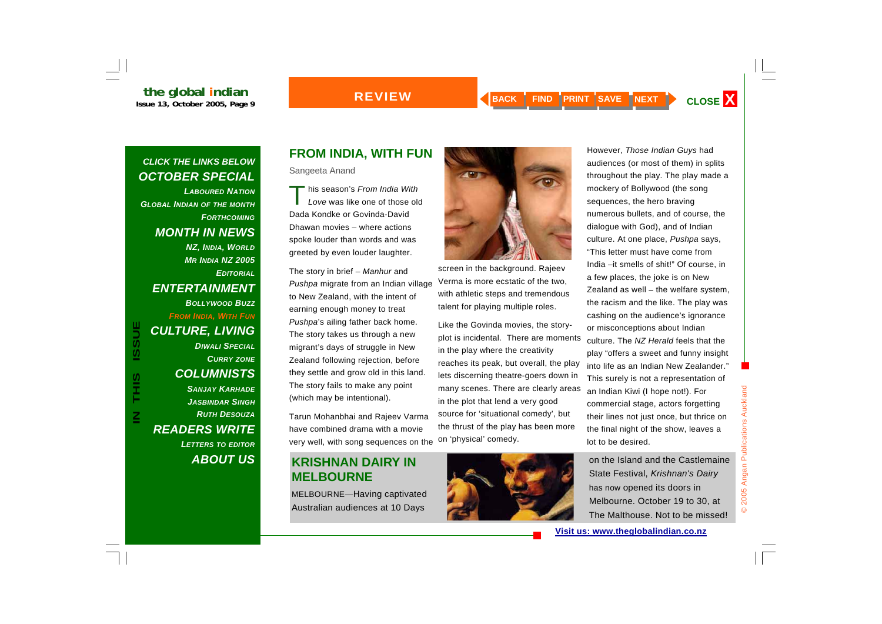### **REVIEW**

### *CLICK THE LINKS BELOW OCTOBER SPECIAL*

*LABOURED NATIONGLOBAL INDIAN OF THE MONTH FORTHCOMINGMONTH IN NEWS NZ, INDIA, WORLD MR INDIA NZ 2005 EDITORIALENTERTAINMENT BOLLYWOOD BUZZFROM INDIA, WITH FUN CULTURE, LIVING DIWALI SPECIALCURRY ZONE COLUMNISTS SANJAY KARHADEJASBINDAR SINGHRUTH DESOUZAREADERS WRITE LETTERS TO EDITOR ABOUT US*

**IN THIS ISSUE**

SIH⊃

 $\overline{\mathsf{z}}$ 

**ISSUE** 

### **FROM INDIA, WITH FUN**

Sangeeta Anand

This season's *From India With Love* was like one of those old Dada Kondke or Govinda-David Dhawan movies – where actions spoke louder than words and was greeted by even louder laughter.

The story in brief – *Manhur* and *Pushpa* migrate from an Indian village to New Zealand, with the intent of earning enough money to treat *Pushpa*'s ailing father back home. The story takes us through a new migrant's days of struggle in New Zealand following rejection, before they settle and grow old in this land. The story fails to make any point (which may be intentional).

Tarun Mohanbhai and Rajeev Varma have combined drama with a movie very well, with song sequences on the

### **KRISHNAN DAIRY IN MELBOURNE**

MELBOURNE—Having captivated Australian audiences at 10 Days



screen in the background. Rajeev Verma is more ecstatic of the two, with athletic steps and tremendous talent for playing multiple roles.

Like the Govinda movies, the storyplot is incidental. There are moments in the play where the creativity reaches its peak, but overall, the play lets discerning theatre-goers down in many scenes. There are clearly areas in the plot that lend a very good source for 'situational comedy', but the thrust of the play has been more on 'physical' comedy.



However, *Those Indian Guys* had audiences (or most of them) in splits throughout the play. The play made a mockery of Bollywood (the song sequences, the hero braving numerous bullets, and of course, the dialogue with God), and of Indian culture. At one place, *Pushpa* says, "This letter must have come from India –it smells of shit!" Of course, in a few places, the joke is on New Zealand as well – the welfare system, the racism and the like. The play was cashing on the audience's ignorance or misconceptions about Indian culture. The *NZ Herald* feels that the play "offers a sweet and funny insight into life as an Indian New Zealander." This surely is not a representation of an Indian Kiwi (I hope not!). For commercial stage, actors forgetting their lines not just once, but thrice on the final night of the show, leaves a lot to be desired.

on the Island and the Castlemaine State Festival, *Krishnan's Dairy* has now opened its doors in Melbourne. October 19 to 30, at The Malthouse. Not to be missed!

**Visit us: www.theglobalindian.co.nz**

 $\overline{\odot}$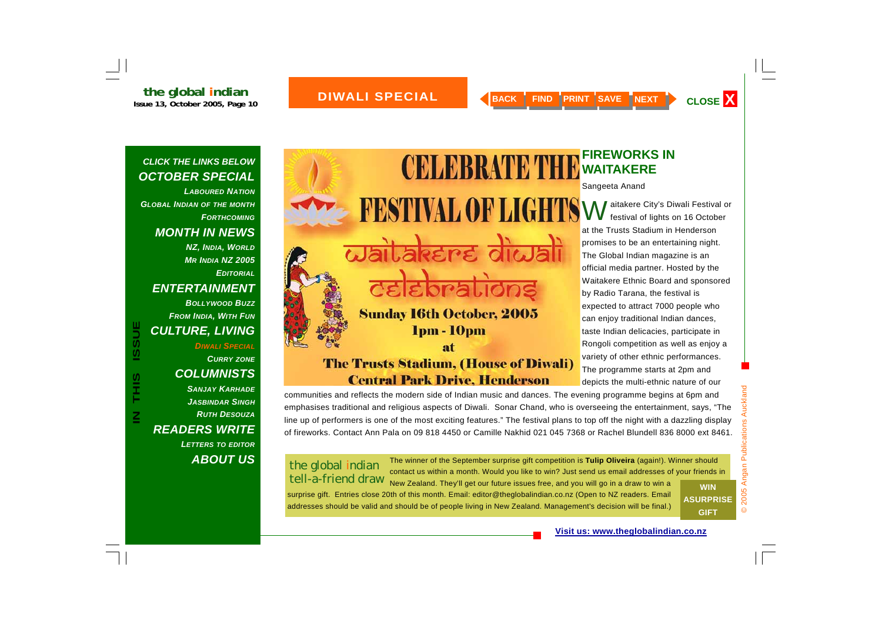### *CLICK THE LINKS BELOW OCTOBER SPECIAL*

*LABOURED NATIONGLOBAL INDIAN OF THE MONTH FORTHCOMINGMONTH IN NEWS* 

*NZ, INDIA, WORLD MR INDIA NZ 2005 EDITORIALENTERTAINMENT BOLLYWOOD BUZZFROM INDIA, WITH FUN CULTURE, LIVING* 

### *DIWALI SPECIALCURRY ZONE COLUMNISTS SANJAY KARHADEJASBINDAR SINGHRUTH DESOUZA*

# *READERS WRITE LETTERS TO EDITOR*

*ABOUT US*

**FESTIVAL OF LIGHTS** Waitakere diwali calabrations **Sunday 16th October, 2005** Ipm-10pm at

### **The Trusts Stadium, (House of Diwali) Central Park Drive, Henderson**

### **FIREWORKS IN WAITAKERE**

#### Sangeeta Anand

W aitakere City's Diwali Festival or<br>
festival of lights on 16 October at the Trusts Stadium in Henderson promises to be an entertaining night. The Global Indian magazine is an official media partner. Hosted by the Waitakere Ethnic Board and sponsored by Radio Tarana, the festival is expected to attract 7000 people who can enjoy traditional Indian dances, taste Indian delicacies, participate in Rongoli competition as well as enjoy a variety of other ethnic performances. The programme starts at 2pm and depicts the multi-ethnic nature of our

communities and reflects the modern side of Indian music and dances. The evening programme begins at 6pm and emphasises traditional and religious aspects of Diwali. Sonar Chand, who is overseeing the entertainment, says, "The line up of performers is one of the most exciting features." The festival plans to top off the night with a dazzling display of fireworks. Contact Ann Pala on 09 818 4450 or Camille Nakhid 021 045 7368 or Rachel Blundell 836 8000 ext 8461.

The winner of the September surprise gift competition is **Tulip Oliveira** (again!). Winner should contact us within a month. Would you like to win? Just send us email addresses of your friends in New Zealand. They'll get our future issues free, and you will go in a draw to win a surprise gift. Entries close 20th of this month. Email: editor@theglobalindian.co.nz (Open to NZ readers. Email **WIN** the global indian tell-a-friend draw

addresses should be valid and should be of people living in New Zealand. Management's decision will be final.)

**ASURPRISE GIFT** 

© 2005 Angan Publications Auckland

2005 Angan Publication

 $\odot$ 

Auckland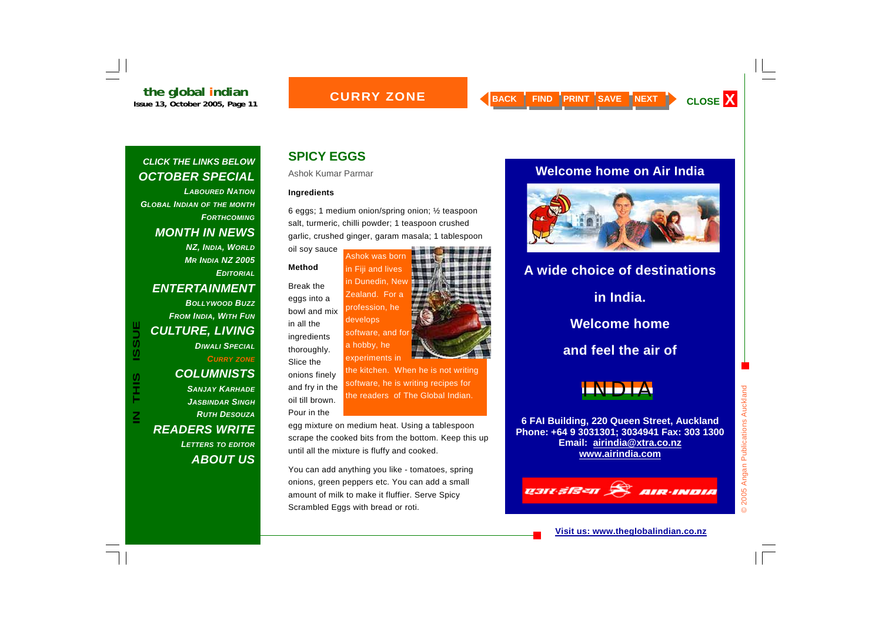### **CURRY ZONE**

### *CLICK THE LINKS BELOW OCTOBER SPECIAL*

*LABOURED NATION*

*GLOBAL INDIAN OF THE MONTH FORTHCOMINGMONTH IN NEWS NZ, INDIA, WORLD MR INDIA NZ 2005 EDITORIALENTERTAINMENT BOLLYWOOD BUZZFROM INDIA, WITH FUN CULTURE, LIVING DIWALI SPECIALCURRY ZONE COLUMNISTS SANJAY KARHADEJASBINDAR SINGHRUTH DESOUZAREADERS WRITE LETTERS TO EDITOR ABOUT US*

**IN THIS ISSUE**

S<br>HH<br>H

 $\overline{z}$ 

**ISSUE** 

### **SPICY EGGS**

Ashok Kumar Parmar

#### **Ingredients**

oil soy sauce

6 eggs; 1 medium onion/spring onion; ½ teaspoon salt, turmeric, chilli powder; 1 teaspoon crushed garlic, crushed ginger, garam masala; 1 tablespoon

#### **Method**

Break the eggs into a bowl and mix in all the ingredients thoroughly. Slice the onions finely and fry in the oil till brown. Pour in the

in Fiji and lives in Dunedin, New Zealand. For a profession, he develops software, and for a hobby, he experiments in

Ashok was born



the kitchen. When he is not writing software, he is writing recipes for the readers of The Global Indian.

egg mixture on medium heat. Using a tablespoon scrape the cooked bits from the bottom. Keep this up until all the mixture is fluffy and cooked.

You can add anything you like - tomatoes, spring onions, green peppers etc. You can add a small amount of milk to make it fluffier. Serve Spicy Scrambled Eggs with bread or roti.

### **Welcome home on Air India**



# **A wide choice of destinations in India. Welcome home and feel the air of**



**6 FAI Building, 220 Queen Street, Auckland Phone: +64 9 3031301; 3034941 Fax: 303 1300 Email: airindia@xtra.co.nz www.airindia.com**

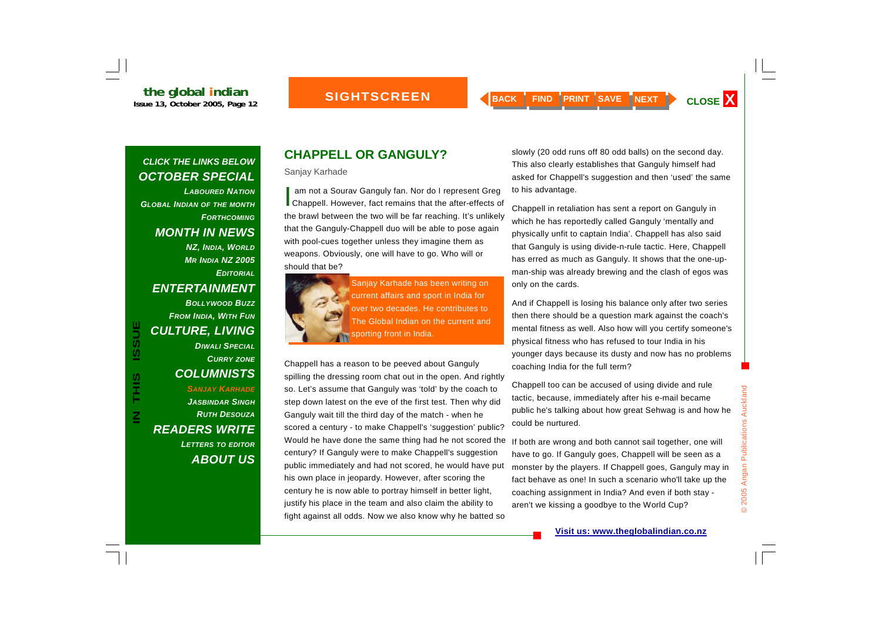*LABOURED NATIONGLOBAL INDIAN OF THE MONTH FORTHCOMINGMONTH IN NEWS NZ, INDIA, WORLD MR INDIA NZ 2005 EDITORIALENTERTAINMENT BOLLYWOOD BUZZFROM INDIA, WITH FUN CULTURE, LIVING DIWALI SPECIALCURRY ZONE COLUMNISTS SANJAY KARHADEJASBINDAR SINGHRUTH DESOUZA*

*READERS WRITE* 

**IN THIS ISSUE**

S<br>H<br>H<br>H

 $\overline{\mathsf{z}}$ 

**ISSUE** 

*LETTERS TO EDITOR*

*ABOUT US*

### **CHAPPELL OR GANGULY?**

Sanjay Karhade

I am not a Sourav Ganguly fan. Nor do I represent Greg<br>Chappell. However, fact remains that the after-effects of the brawl between the two will be far reaching. It's unlikely that the Ganguly-Chappell duo will be able to pose again with pool-cues together unless they imagine them as weapons. Obviously, one will have to go. Who will or should that be?



Sanjay Karhade has been writing on current affairs and sport in India for over two decades. He contributes to The Global Indian on the current and sporting front in India.

Chappell has a reason to be peeved about Ganguly spilling the dressing room chat out in the open. And rightly so. Let's assume that Ganguly was 'told' by the coach to step down latest on the eve of the first test. Then why did Ganguly wait till the third day of the match - when he scored a century - to make Chappell's 'suggestion' public? Would he have done the same thing had he not scored the century? If Ganguly were to make Chappell's suggestion public immediately and had not scored, he would have put his own place in jeopardy. However, after scoring the century he is now able to portray himself in better light, justify his place in the team and also claim the ability to fight against all odds. Now we also know why he batted so

slowly (20 odd runs off 80 odd balls) on the second day. This also clearly establishes that Ganguly himself had asked for Chappell's suggestion and then 'used' the same to his advantage.

Chappell in retaliation has sent a report on Ganguly in which he has reportedly called Ganguly 'mentally and physically unfit to captain India'. Chappell has also said that Ganguly is using divide-n-rule tactic. Here, Chappell has erred as much as Ganguly. It shows that the one-upman-ship was already brewing and the clash of egos was only on the cards.

And if Chappell is losing his balance only after two series then there should be a question mark against the coach's mental fitness as well. Also how will you certify someone's physical fitness who has refused to tour India in his younger days because its dusty and now has no problems coaching India for the full term?

Chappell too can be accused of using divide and rule tactic, because, immediately after his e-mail became public he's talking about how great Sehwag is and how he could be nurtured.

If both are wrong and both cannot sail together, one will have to go. If Ganguly goes, Chappell will be seen as a monster by the players. If Chappell goes, Ganguly may in fact behave as one! In such a scenario who'll take up the coaching assignment in India? And even if both stay aren't we kissing a goodbye to the World Cup?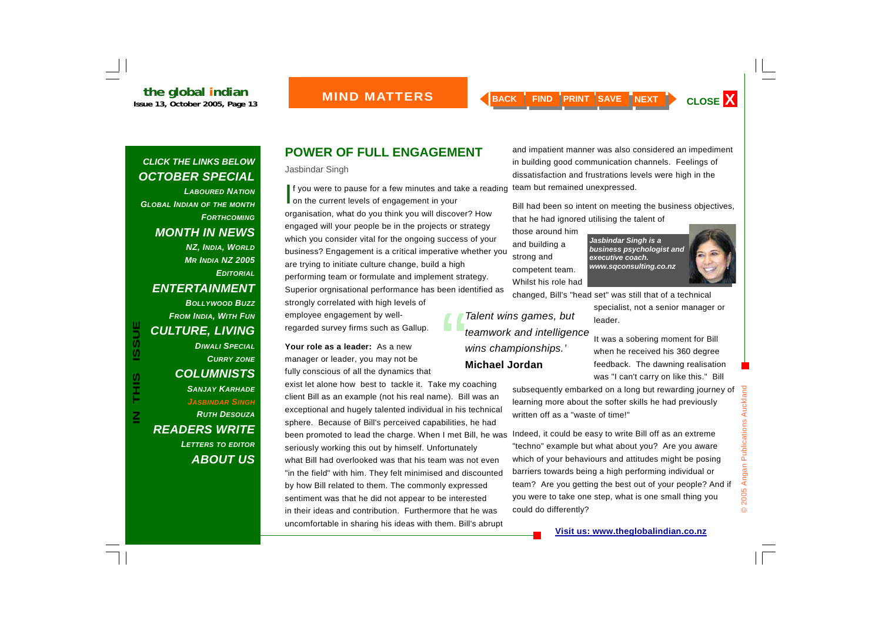*LABOURED NATIONGLOBAL INDIAN OF THE MONTH FORTHCOMINGMONTH IN NEWS NZ, INDIA, WORLD MR INDIA NZ 2005 EDITORIALENTERTAINMENT BOLLYWOOD BUZZFROM INDIA, WITH FUN CULTURE, LIVING DIWALI SPECIALCURRY ZONE COLUMNISTS SANJAY KARHADEJASBINDAR SINGH RUTH DESOUZAREADERS WRITE LETTERS TO EDITOR ABOUT US*

**IN THIS ISSUE**

S<br>H<br>H<br>H

 $\overline{\mathsf{z}}$ 

**ISSUE** 

### **POWER OF FULL ENGAGEMENT**

Jasbindar Singh

If you were to pause for a few minutes and take a reading<br>on the current levels of engagement in your organisation, what do you think you will discover? How engaged will your people be in the projects or strategy which you consider vital for the ongoing success of your business? Engagement is a critical imperative whether you are trying to initiate culture change, build a high performing team or formulate and implement strategy. Superior orgnisational performance has been identified as strongly correlated with high levels of employee engagement by well-

regarded survey firms such as Gallup.

**Your role as a leader:** As a new manager or leader, you may not be fully conscious of all the dynamics that

exist let alone how best to tackle it. Take my coaching client Bill as an example (not his real name). Bill was an exceptional and hugely talented individual in his technical sphere. Because of Bill's perceived capabilities, he had been promoted to lead the charge. When I met Bill, he was seriously working this out by himself. Unfortunately what Bill had overlooked was that his team was not even "in the field" with him. They felt minimised and discounted by how Bill related to them. The commonly expressed sentiment was that he did not appear to be interested in their ideas and contribution. Furthermore that he was uncomfortable in sharing his ideas with them. Bill's abrupt

and impatient manner was also considered an impediment in building good communication channels. Feelings of dissatisfaction and frustrations levels were high in the team but remained unexpressed.

Bill had been so intent on meeting the business objectives, that he had ignored utilising the talent of

those around him and building a strong and competent team. Whilst his role had



changed, Bill's "head set" was still that of a technical

leader.

*Talent wins games, but*<br>teamwork and intelligence *wins championships.'* **Michael Jordan**

It was a sobering moment for Bill when he received his 360 degree feedback. The dawning realisation was "I can't carry on like this." Bill

specialist, not a senior manager or

subsequently embarked on a long but rewarding journey of learning more about the softer skills he had previously written off as a "waste of time!"

Indeed, it could be easy to write Bill off as an extreme "techno" example but what about you? Are you aware which of your behaviours and attitudes might be posing barriers towards being a high performing individual or team? Are you getting the best out of your people? And if you were to take one step, what is one small thing you could do differently?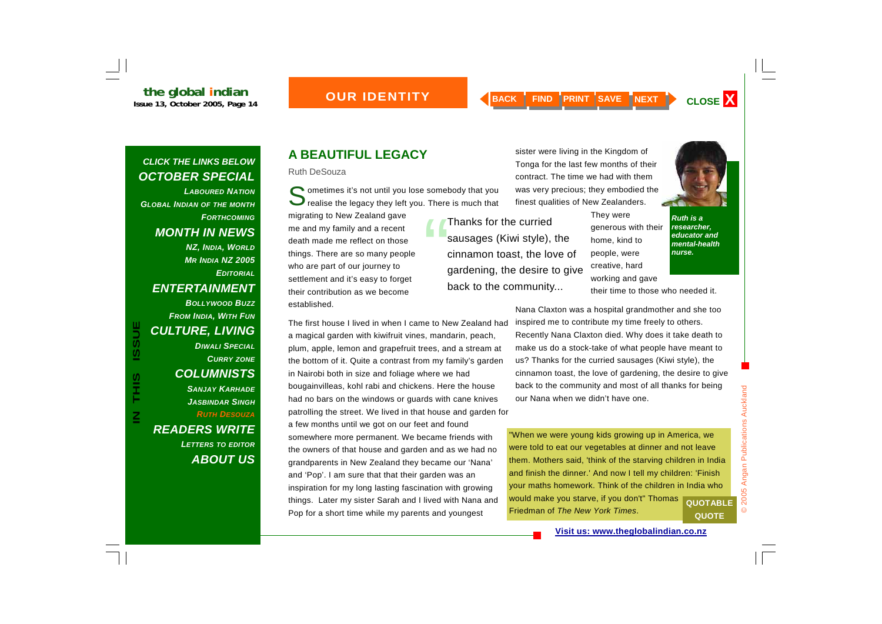*LABOURED NATIONGLOBAL INDIAN OF THE MONTH FORTHCOMINGMONTH IN NEWS NZ, INDIA, WORLD MR INDIA NZ 2005 EDITORIALENTERTAINMENT BOLLYWOOD BUZZFROM INDIA, WITH FUN CULTURE, LIVING DIWALI SPECIALCURRY ZONE COLUMNISTS SANJAY KARHADEJASBINDAR SINGHRUTH DESOUZAREADERS WRITE LETTERS TO EDITOR ABOUT US*

**IN THIS ISSUE**

SIH⊃

 $\overline{\underline{\mathsf{z}}}$ 

**ISSUE** 

## **A BEAUTIFUL LEGACY**

Ruth DeSouza

Sometimes it's not until you lose somebody that you<br>realise the legacy they left you. There is much that

migrating to New Zealand gave me and my family and a recent death made me reflect on those things. There are so many people who are part of our journey to settlement and it's easy to forget their contribution as we become established.

The first house I lived in when I came to New Zealand had a magical garden with kiwifruit vines, mandarin, peach, plum, apple, lemon and grapefruit trees, and a stream at the bottom of it. Quite a contrast from my family's garden in Nairobi both in size and foliage where we had bougainvilleas, kohl rabi and chickens. Here the house had no bars on the windows or guards with cane knives patrolling the street. We lived in that house and garden for

a few months until we got on our feet and found somewhere more permanent. We became friends with the owners of that house and garden and as we had no grandparents in New Zealand they became our 'Nana' and 'Pop'. I am sure that that their garden was an inspiration for my long lasting fascination with growing things. Later my sister Sarah and I lived with Nana and Pop for a short time while my parents and youngest

sister were living in the Kingdom of Tonga for the last few months of their contract. The time we had with them was very precious; they embodied the finest qualities of New Zealanders.

Thanks for the curried<br>sausages (Kiwi style), the cinnamon toast, the love of gardening, the desire to give back to the community...

They were generous with their home, kind to people, were creative, hard

working and gave



*Ruth is a researcher, educator and mental-health nurse.* 

their time to those who needed it.

Nana Claxton was a hospital grandmother and she too inspired me to contribute my time freely to others. Recently Nana Claxton died. Why does it take death to make us do a stock-take of what people have meant to us? Thanks for the curried sausages (Kiwi style), the cinnamon toast, the love of gardening, the desire to give back to the community and most of all thanks for being our Nana when we didn't have one.

"When we were young kids growing up in America, we were told to eat our vegetables at dinner and not leave them. Mothers said, 'think of the starving children in India and finish the dinner.' And now I tell my children: 'Finish your maths homework. Think of the children in India who would make you starve, if you don't" Thomas Friedman of *The New York Times*. **QUOTABLE QUOTE** 

© 2005 Angan Publications Auckland 2005 Angan Publications Auckland  $\odot$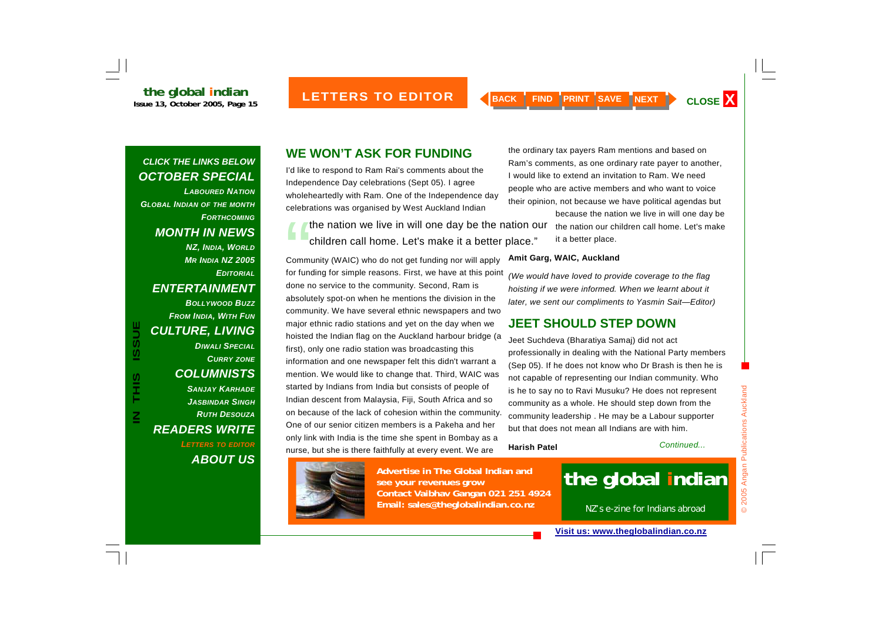*LABOURED NATIONGLOBAL INDIAN OF THE MONTH FORTHCOMINGMONTH IN NEWS NZ, INDIA, WORLD MR INDIA NZ 2005 EDITORIALENTERTAINMENT BOLLYWOOD BUZZFROM INDIA, WITH FUN CULTURE, LIVING DIWALI SPECIALCURRY ZONE COLUMNISTS SANJAY KARHADEJASBINDAR SINGHRUTH DESOUZAREADERS WRITE LETTERS TO EDITOR ABOUT US*

### **WE WON'T ASK FOR FUNDING**

I'd like to respond to Ram Rai's comments about the Independence Day celebrations (Sept 05). I agree wholeheartedly with Ram. One of the Independence day celebrations was organised by West Auckland Indian

the nation we live in will one day be the nation our the nation our children call home. Let's make<br>children call home. Let's make it a better place." it a better place.

Community (WAIC) who do not get funding nor will apply for funding for simple reasons. First, we have at this point done no service to the community. Second, Ram is absolutely spot-on when he mentions the division in the community. We have several ethnic newspapers and two major ethnic radio stations and yet on the day when we hoisted the Indian flag on the Auckland harbour bridge (a first), only one radio station was broadcasting this information and one newspaper felt this didn't warrant a mention. We would like to change that. Third, WAIC was One of our senior citizen members is a Pakeha and her

started by Indians from India but consists of people of Indian descent from Malaysia, Fiji, South Africa and so on because of the lack of cohesion within the community. only link with India is the time she spent in Bombay as a nurse, but she is there faithfully at every event. We are **Harish Patel**



because the nation we live in will one day be it a better place.

#### **Amit Garg, WAIC, Auckland**

*(We would have loved to provide coverage to the flag hoisting if we were informed. When we learnt about it later, we sent our compliments to Yasmin Sait—Editor)* 

### **JEET SHOULD STEP DOWN**

Jeet Suchdeva (Bharatiya Samaj) did not act professionally in dealing with the National Party members (Sep 05). If he does not know who Dr Brash is then he is not capable of representing our Indian community. Who is he to say no to Ravi Musuku? He does not represent community as a whole. He should step down from the community leadership . He may be a Labour supporter but that does not mean all Indians are with him.

*Continued...* 



**Advertise in The Global Indian and see your revenues grow Contact Vaibhav Gangan 021 251 4924 Email: sales@theglobalindian.co.nz**

NZ's e-zine for Indians abroad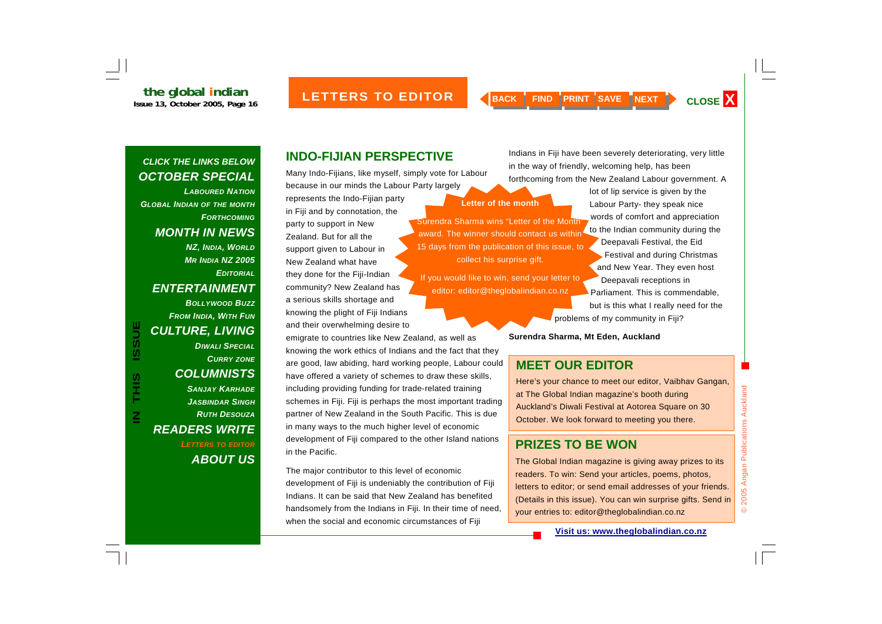#### **READERS TO EDITOR AGE OF PRINT SAVE THEADER ARE SERVING ASSESSMENT OF A LETTERS TO EDITOR AGE FIND PRINT SAVE NEXT CLOSE X the global indian**<br>Issue 13, October 2005, Page 16

### *CLICK THE LINKS BELOW OCTOBER SPECIAL*

*LABOURED NATIONGLOBAL INDIAN OF THE MONTH FORTHCOMINGMONTH IN NEWS NZ, INDIA, WORLD MR INDIA NZ 2005 EDITORIALENTERTAINMENT BOLLYWOOD BUZZFROM INDIA, WITH FUN CULTURE, LIVING DIWALI SPECIALCURRY ZONE COLUMNISTS SANJAY KARHADEJASBINDAR SINGHRUTH DESOUZAREADERS WRITE LETTERS TO EDITOR ABOUT US*

**IN THIS ISSUE**

S<br>H<br>H<br>H

 $\overline{\mathsf{z}}$ 

**ISSUE** 

## **INDO-FIJIAN PERSPECTIVE**

Many Indo-Fijians, like myself, simply vote for Labour because in our minds the Labour Party largely represents the Indo-Fijian party in Fiji and by connotation, the party to support in New Zealand. But for all the support given to Labour in New Zealand what have they done for the Fiji-Indian community? New Zealand has a serious skills shortage and knowing the plight of Fiji Indians and their overwhelming desire to emigrate to countries like New Zealand, as well as knowing the work ethics of Indians and the fact that they are good, law abiding, hard working people, Labour could have offered a variety of schemes to draw these skills,

including providing funding for trade-related training schemes in Fiji. Fiji is perhaps the most important trading partner of New Zealand in the South Pacific. This is due in many ways to the much higher level of economic development of Fiji compared to the other Island nations in the Pacific.

The major contributor to this level of economic development of Fiji is undeniably the contribution of Fiji Indians. It can be said that New Zealand has benefited handsomely from the Indians in Fiji. In their time of need, when the social and economic circumstances of Fiji

Indians in Fiji have been severely deteriorating, very little in the way of friendly, welcoming help, has been forthcoming from the New Zealand Labour government. A

### **Letter of the month**

Surendra Sharma wins "Letter of the Month" award. The winner should contact us within 15 days from the publication of this issue, to collect his surprise gift.

If you would like to win, send your letter to editor: editor@theglobalindian.co.nz

lot of lip service is given by the Labour Party- they speak nice words of comfort and appreciation to the Indian community during the Deepavali Festival, the Eid Festival and during Christmas and New Year. They even host Deepavali receptions in Parliament. This is commendable, but is this what I really need for the problems of my community in Fiji?

#### **Surendra Sharma, Mt Eden, Auckland**

### **MEET OUR EDITOR**

Here's your chance to meet our editor, Vaibhav Gangan, at The Global Indian magazine's booth during Auckland's Diwali Festival at Aotorea Square on 30 October. We look forward to meeting you there.

### **PRIZES TO BE WON**

The Global Indian magazine is giving away prizes to its readers. To win: Send your articles, poems, photos, letters to editor; or send email addresses of your friends. (Details in this issue). You can win surprise gifts. Send in your entries to: editor@theglobalindian.co.nz